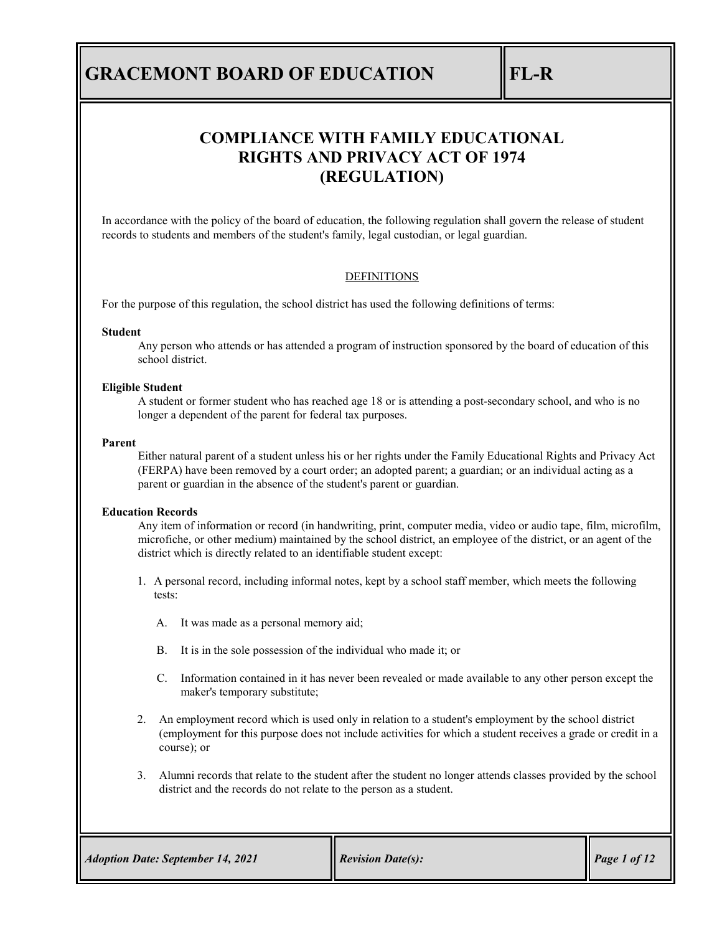## **COMPLIANCE WITH FAMILY EDUCATIONAL RIGHTS AND PRIVACY ACT OF 1974 (REGULATION)**

In accordance with the policy of the board of education, the following regulation shall govern the release of student records to students and members of the student's family, legal custodian, or legal guardian.

#### DEFINITIONS

For the purpose of this regulation, the school district has used the following definitions of terms:

#### **Student**

Any person who attends or has attended a program of instruction sponsored by the board of education of this school district.

#### **Eligible Student**

A student or former student who has reached age 18 or is attending a post-secondary school, and who is no longer a dependent of the parent for federal tax purposes.

#### **Parent**

Either natural parent of a student unless his or her rights under the Family Educational Rights and Privacy Act (FERPA) have been removed by a court order; an adopted parent; a guardian; or an individual acting as a parent or guardian in the absence of the student's parent or guardian.

### **Education Records**

Any item of information or record (in handwriting, print, computer media, video or audio tape, film, microfilm, microfiche, or other medium) maintained by the school district, an employee of the district, or an agent of the district which is directly related to an identifiable student except:

- 1. A personal record, including informal notes, kept by a school staff member, which meets the following tests:
	- A. It was made as a personal memory aid;
	- B. It is in the sole possession of the individual who made it; or
	- C. Information contained in it has never been revealed or made available to any other person except the maker's temporary substitute;
- 2. An employment record which is used only in relation to a student's employment by the school district (employment for this purpose does not include activities for which a student receives a grade or credit in a course); or
- 3. Alumni records that relate to the student after the student no longer attends classes provided by the school district and the records do not relate to the person as a student.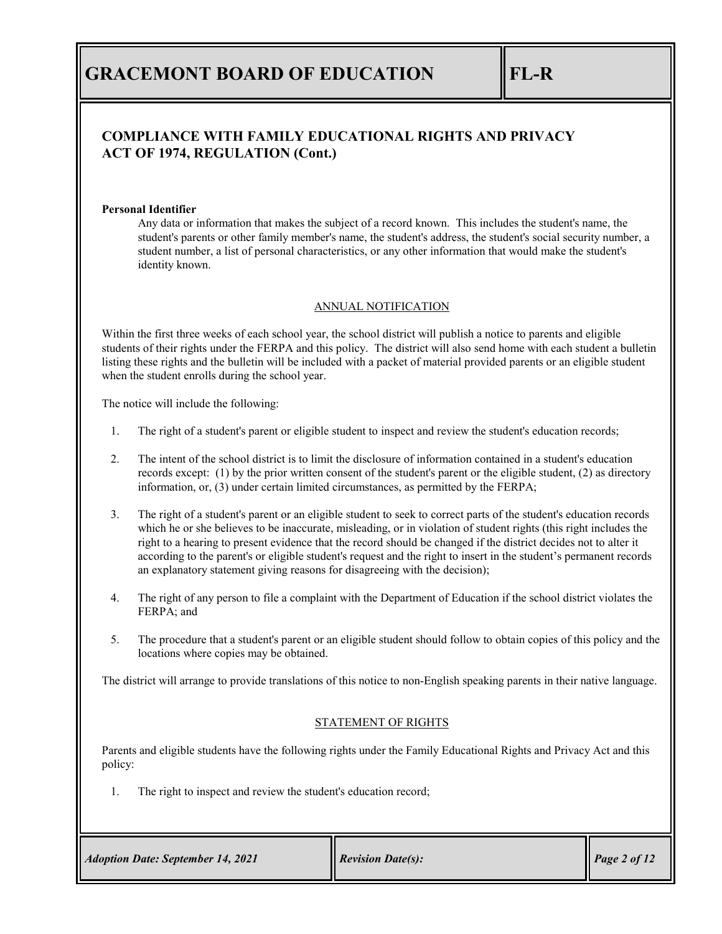## **COMPLIANCE WITH FAMILY EDUCATIONAL RIGHTS AND PRIVACY ACT OF 1974, REGULATION (Cont.)**

### **Personal Identifier**

Any data or information that makes the subject of a record known. This includes the student's name, the student's parents or other family member's name, the student's address, the student's social security number, a student number, a list of personal characteristics, or any other information that would make the student's identity known.

#### ANNUAL NOTIFICATION

Within the first three weeks of each school year, the school district will publish a notice to parents and eligible students of their rights under the FERPA and this policy. The district will also send home with each student a bulletin listing these rights and the bulletin will be included with a packet of material provided parents or an eligible student when the student enrolls during the school year.

The notice will include the following:

- 1. The right of a student's parent or eligible student to inspect and review the student's education records;
- 2. The intent of the school district is to limit the disclosure of information contained in a student's education records except: (1) by the prior written consent of the student's parent or the eligible student, (2) as directory information, or, (3) under certain limited circumstances, as permitted by the FERPA;
- 3. The right of a student's parent or an eligible student to seek to correct parts of the student's education records which he or she believes to be inaccurate, misleading, or in violation of student rights (this right includes the right to a hearing to present evidence that the record should be changed if the district decides not to alter it according to the parent's or eligible student's request and the right to insert in the student's permanent records an explanatory statement giving reasons for disagreeing with the decision);
- 4. The right of any person to file a complaint with the Department of Education if the school district violates the FERPA; and
- 5. The procedure that a student's parent or an eligible student should follow to obtain copies of this policy and the locations where copies may be obtained.

The district will arrange to provide translations of this notice to non-English speaking parents in their native language.

### STATEMENT OF RIGHTS

Parents and eligible students have the following rights under the Family Educational Rights and Privacy Act and this policy:

1. The right to inspect and review the student's education record;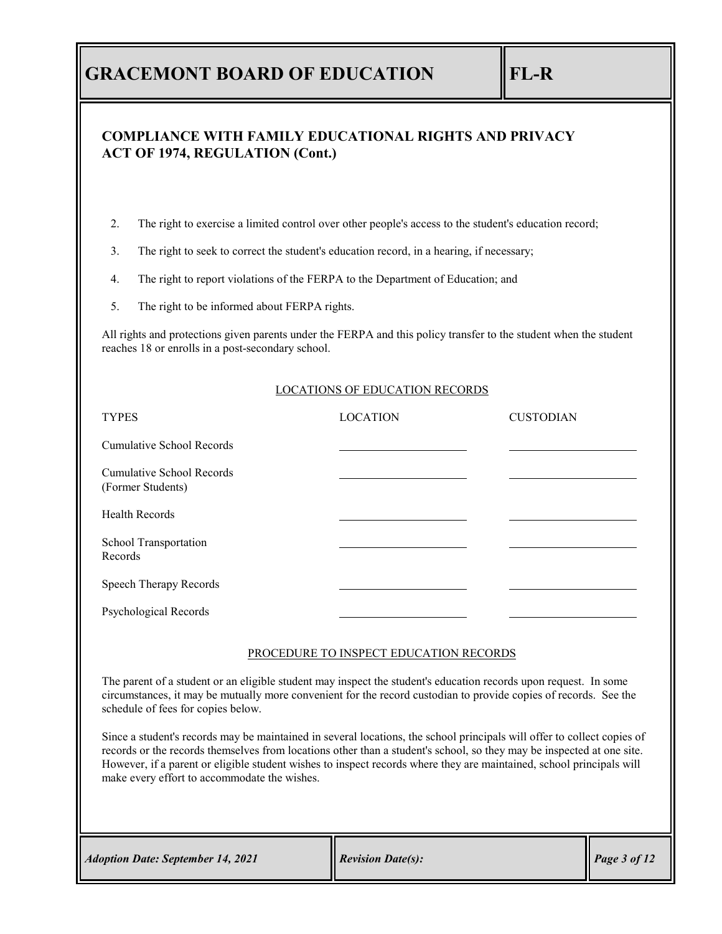## **COMPLIANCE WITH FAMILY EDUCATIONAL RIGHTS AND PRIVACY ACT OF 1974, REGULATION (Cont.)**

2. The right to exercise a limited control over other people's access to the student's education record;

3. The right to seek to correct the student's education record, in a hearing, if necessary;

4. The right to report violations of the FERPA to the Department of Education; and

5. The right to be informed about FERPA rights.

All rights and protections given parents under the FERPA and this policy transfer to the student when the student reaches 18 or enrolls in a post-secondary school.

### LOCATIONS OF EDUCATION RECORDS

| <b>TYPES</b>                                   | <b>LOCATION</b> | <b>CUSTODIAN</b> |
|------------------------------------------------|-----------------|------------------|
| <b>Cumulative School Records</b>               |                 |                  |
| Cumulative School Records<br>(Former Students) |                 |                  |
| Health Records                                 |                 |                  |
| School Transportation<br>Records               |                 |                  |
| Speech Therapy Records                         |                 |                  |
| Psychological Records                          |                 |                  |

#### PROCEDURE TO INSPECT EDUCATION RECORDS

The parent of a student or an eligible student may inspect the student's education records upon request. In some circumstances, it may be mutually more convenient for the record custodian to provide copies of records. See the schedule of fees for copies below.

Since a student's records may be maintained in several locations, the school principals will offer to collect copies of records or the records themselves from locations other than a student's school, so they may be inspected at one site. However, if a parent or eligible student wishes to inspect records where they are maintained, school principals will make every effort to accommodate the wishes.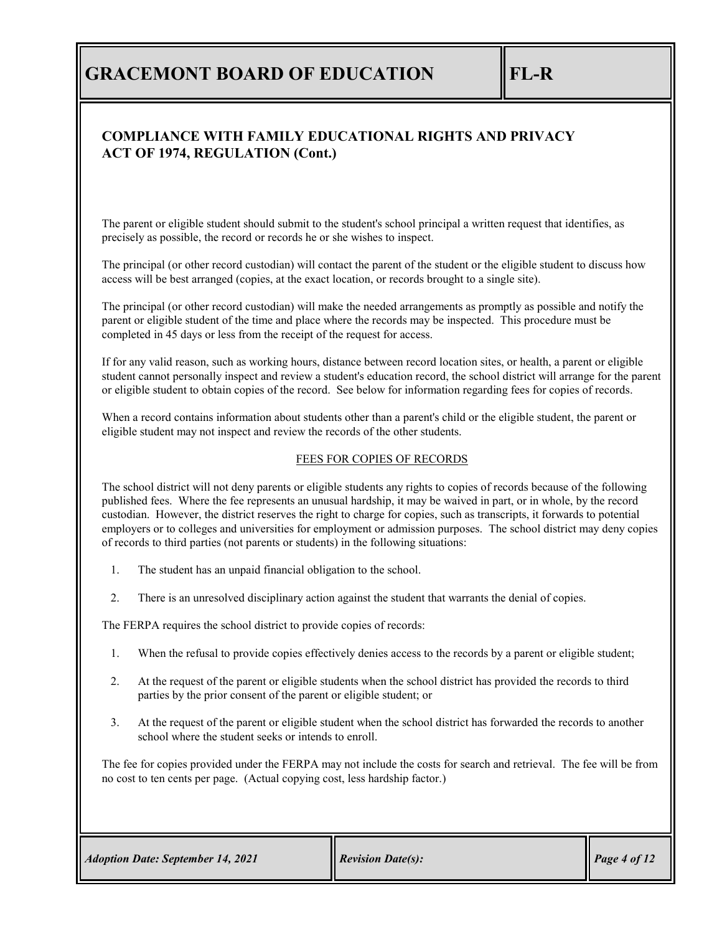## **COMPLIANCE WITH FAMILY EDUCATIONAL RIGHTS AND PRIVACY ACT OF 1974, REGULATION (Cont.)**

The parent or eligible student should submit to the student's school principal a written request that identifies, as precisely as possible, the record or records he or she wishes to inspect.

The principal (or other record custodian) will contact the parent of the student or the eligible student to discuss how access will be best arranged (copies, at the exact location, or records brought to a single site).

The principal (or other record custodian) will make the needed arrangements as promptly as possible and notify the parent or eligible student of the time and place where the records may be inspected. This procedure must be completed in 45 days or less from the receipt of the request for access.

If for any valid reason, such as working hours, distance between record location sites, or health, a parent or eligible student cannot personally inspect and review a student's education record, the school district will arrange for the parent or eligible student to obtain copies of the record. See below for information regarding fees for copies of records.

When a record contains information about students other than a parent's child or the eligible student, the parent or eligible student may not inspect and review the records of the other students.

### FEES FOR COPIES OF RECORDS

The school district will not deny parents or eligible students any rights to copies of records because of the following published fees. Where the fee represents an unusual hardship, it may be waived in part, or in whole, by the record custodian. However, the district reserves the right to charge for copies, such as transcripts, it forwards to potential employers or to colleges and universities for employment or admission purposes. The school district may deny copies of records to third parties (not parents or students) in the following situations:

- 1. The student has an unpaid financial obligation to the school.
- 2. There is an unresolved disciplinary action against the student that warrants the denial of copies.

The FERPA requires the school district to provide copies of records:

- 1. When the refusal to provide copies effectively denies access to the records by a parent or eligible student;
- 2. At the request of the parent or eligible students when the school district has provided the records to third parties by the prior consent of the parent or eligible student; or
- 3. At the request of the parent or eligible student when the school district has forwarded the records to another school where the student seeks or intends to enroll.

The fee for copies provided under the FERPA may not include the costs for search and retrieval. The fee will be from no cost to ten cents per page. (Actual copying cost, less hardship factor.)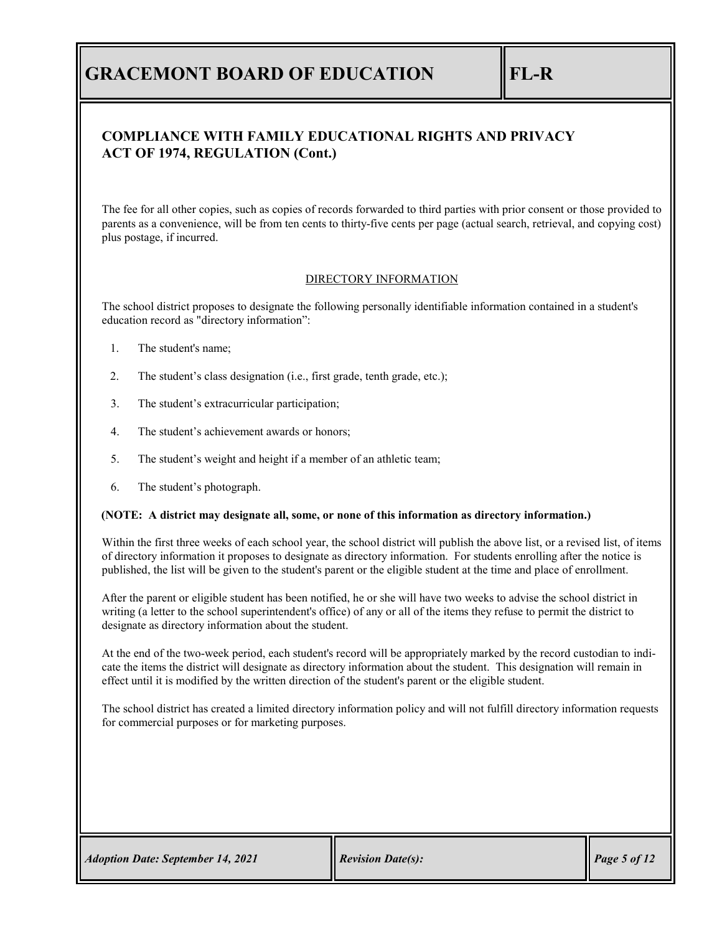## **COMPLIANCE WITH FAMILY EDUCATIONAL RIGHTS AND PRIVACY ACT OF 1974, REGULATION (Cont.)**

The fee for all other copies, such as copies of records forwarded to third parties with prior consent or those provided to parents as a convenience, will be from ten cents to thirty-five cents per page (actual search, retrieval, and copying cost) plus postage, if incurred.

### DIRECTORY INFORMATION

The school district proposes to designate the following personally identifiable information contained in a student's education record as "directory information":

- 1. The student's name;
- 2. The student's class designation (i.e., first grade, tenth grade, etc.);
- 3. The student's extracurricular participation;
- 4. The student's achievement awards or honors;
- 5. The student's weight and height if a member of an athletic team;
- 6. The student's photograph.

### **(NOTE: A district may designate all, some, or none of this information as directory information.)**

Within the first three weeks of each school year, the school district will publish the above list, or a revised list, of items of directory information it proposes to designate as directory information. For students enrolling after the notice is published, the list will be given to the student's parent or the eligible student at the time and place of enrollment.

After the parent or eligible student has been notified, he or she will have two weeks to advise the school district in writing (a letter to the school superintendent's office) of any or all of the items they refuse to permit the district to designate as directory information about the student.

At the end of the two-week period, each student's record will be appropriately marked by the record custodian to indicate the items the district will designate as directory information about the student. This designation will remain in effect until it is modified by the written direction of the student's parent or the eligible student.

The school district has created a limited directory information policy and will not fulfill directory information requests for commercial purposes or for marketing purposes.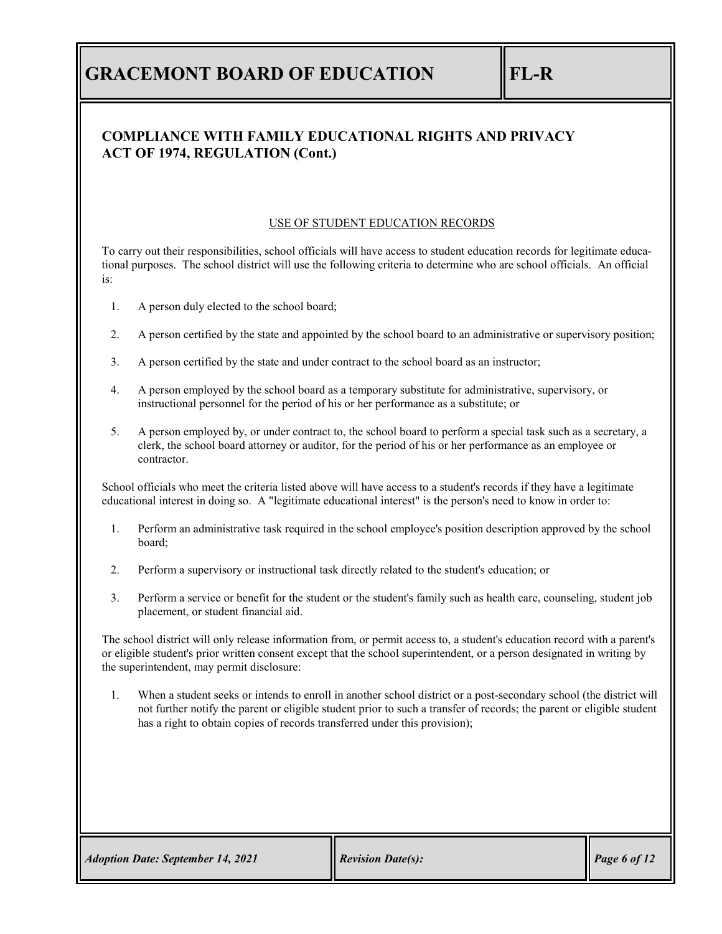## **COMPLIANCE WITH FAMILY EDUCATIONAL RIGHTS AND PRIVACY ACT OF 1974, REGULATION (Cont.)**

### USE OF STUDENT EDUCATION RECORDS

To carry out their responsibilities, school officials will have access to student education records for legitimate educational purposes. The school district will use the following criteria to determine who are school officials. An official is:

- 1. A person duly elected to the school board;
- 2. A person certified by the state and appointed by the school board to an administrative or supervisory position;
- 3. A person certified by the state and under contract to the school board as an instructor;
- 4. A person employed by the school board as a temporary substitute for administrative, supervisory, or instructional personnel for the period of his or her performance as a substitute; or
- 5. A person employed by, or under contract to, the school board to perform a special task such as a secretary, a clerk, the school board attorney or auditor, for the period of his or her performance as an employee or contractor.

School officials who meet the criteria listed above will have access to a student's records if they have a legitimate educational interest in doing so. A "legitimate educational interest" is the person's need to know in order to:

- 1. Perform an administrative task required in the school employee's position description approved by the school board;
- 2. Perform a supervisory or instructional task directly related to the student's education; or
- 3. Perform a service or benefit for the student or the student's family such as health care, counseling, student job placement, or student financial aid.

The school district will only release information from, or permit access to, a student's education record with a parent's or eligible student's prior written consent except that the school superintendent, or a person designated in writing by the superintendent, may permit disclosure:

1. When a student seeks or intends to enroll in another school district or a post-secondary school (the district will not further notify the parent or eligible student prior to such a transfer of records; the parent or eligible student has a right to obtain copies of records transferred under this provision);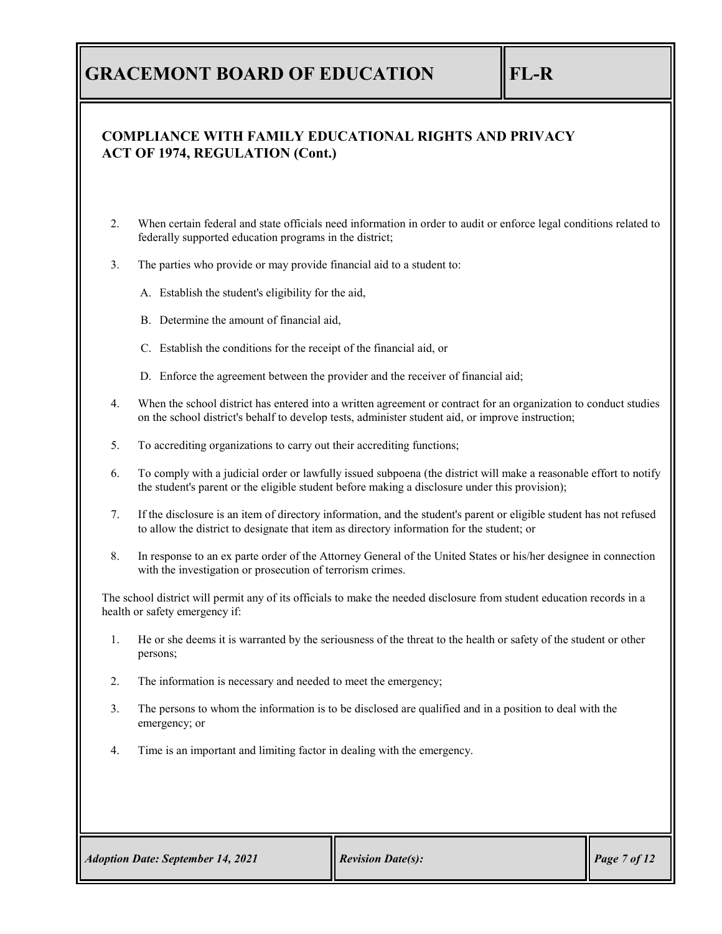## **COMPLIANCE WITH FAMILY EDUCATIONAL RIGHTS AND PRIVACY ACT OF 1974, REGULATION (Cont.)**

- 2. When certain federal and state officials need information in order to audit or enforce legal conditions related to federally supported education programs in the district;
- 3. The parties who provide or may provide financial aid to a student to:
	- A. Establish the student's eligibility for the aid,
	- B. Determine the amount of financial aid,
	- C. Establish the conditions for the receipt of the financial aid, or
	- D. Enforce the agreement between the provider and the receiver of financial aid;
- 4. When the school district has entered into a written agreement or contract for an organization to conduct studies on the school district's behalf to develop tests, administer student aid, or improve instruction;
- 5. To accrediting organizations to carry out their accrediting functions;
- 6. To comply with a judicial order or lawfully issued subpoena (the district will make a reasonable effort to notify the student's parent or the eligible student before making a disclosure under this provision);
- 7. If the disclosure is an item of directory information, and the student's parent or eligible student has not refused to allow the district to designate that item as directory information for the student; or
- 8. In response to an ex parte order of the Attorney General of the United States or his/her designee in connection with the investigation or prosecution of terrorism crimes.

The school district will permit any of its officials to make the needed disclosure from student education records in a health or safety emergency if:

- 1. He or she deems it is warranted by the seriousness of the threat to the health or safety of the student or other persons;
- 2. The information is necessary and needed to meet the emergency;
- 3. The persons to whom the information is to be disclosed are qualified and in a position to deal with the emergency; or
- 4. Time is an important and limiting factor in dealing with the emergency.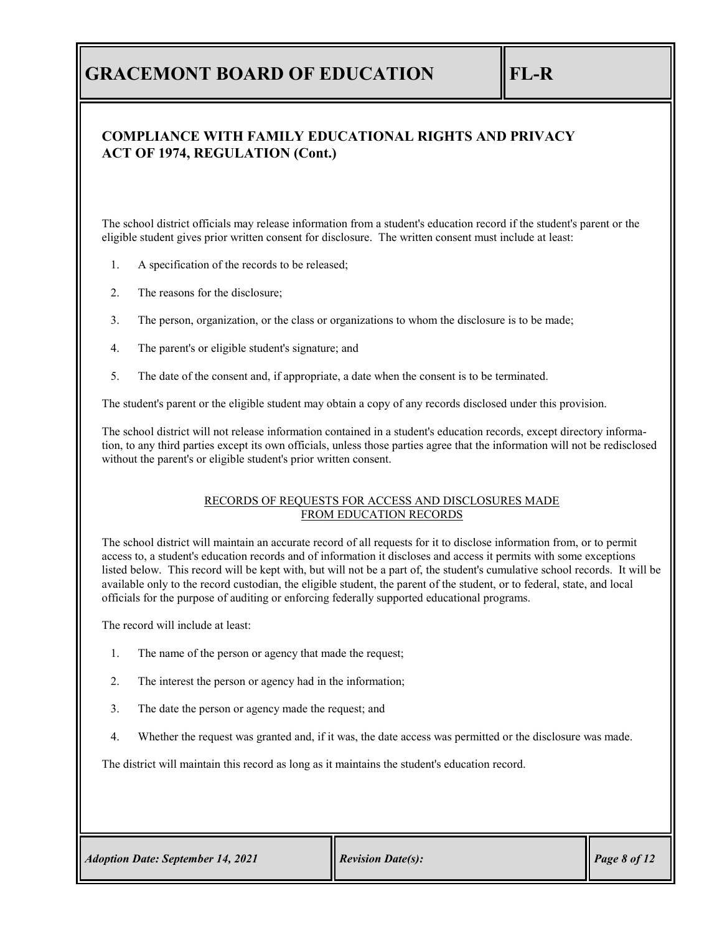## **COMPLIANCE WITH FAMILY EDUCATIONAL RIGHTS AND PRIVACY ACT OF 1974, REGULATION (Cont.)**

The school district officials may release information from a student's education record if the student's parent or the eligible student gives prior written consent for disclosure. The written consent must include at least:

- 1. A specification of the records to be released;
- 2. The reasons for the disclosure;
- 3. The person, organization, or the class or organizations to whom the disclosure is to be made;
- 4. The parent's or eligible student's signature; and
- 5. The date of the consent and, if appropriate, a date when the consent is to be terminated.

The student's parent or the eligible student may obtain a copy of any records disclosed under this provision.

The school district will not release information contained in a student's education records, except directory information, to any third parties except its own officials, unless those parties agree that the information will not be redisclosed without the parent's or eligible student's prior written consent.

#### RECORDS OF REQUESTS FOR ACCESS AND DISCLOSURES MADE FROM EDUCATION RECORDS

The school district will maintain an accurate record of all requests for it to disclose information from, or to permit access to, a student's education records and of information it discloses and access it permits with some exceptions listed below. This record will be kept with, but will not be a part of, the student's cumulative school records. It will be available only to the record custodian, the eligible student, the parent of the student, or to federal, state, and local officials for the purpose of auditing or enforcing federally supported educational programs.

The record will include at least:

- 1. The name of the person or agency that made the request;
- 2. The interest the person or agency had in the information;
- 3. The date the person or agency made the request; and
- 4. Whether the request was granted and, if it was, the date access was permitted or the disclosure was made.

The district will maintain this record as long as it maintains the student's education record.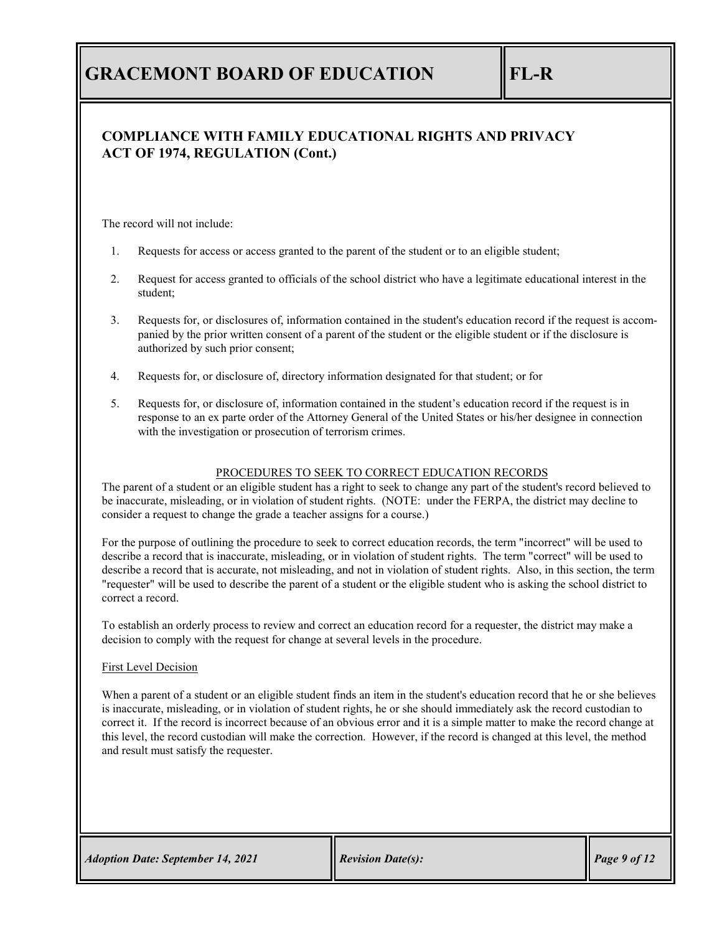## **COMPLIANCE WITH FAMILY EDUCATIONAL RIGHTS AND PRIVACY ACT OF 1974, REGULATION (Cont.)**

The record will not include:

- 1. Requests for access or access granted to the parent of the student or to an eligible student;
- 2. Request for access granted to officials of the school district who have a legitimate educational interest in the student;
- 3. Requests for, or disclosures of, information contained in the student's education record if the request is accompanied by the prior written consent of a parent of the student or the eligible student or if the disclosure is authorized by such prior consent;
- 4. Requests for, or disclosure of, directory information designated for that student; or for
- 5. Requests for, or disclosure of, information contained in the student's education record if the request is in response to an ex parte order of the Attorney General of the United States or his/her designee in connection with the investigation or prosecution of terrorism crimes.

### PROCEDURES TO SEEK TO CORRECT EDUCATION RECORDS

The parent of a student or an eligible student has a right to seek to change any part of the student's record believed to be inaccurate, misleading, or in violation of student rights. (NOTE: under the FERPA, the district may decline to consider a request to change the grade a teacher assigns for a course.)

For the purpose of outlining the procedure to seek to correct education records, the term "incorrect" will be used to describe a record that is inaccurate, misleading, or in violation of student rights. The term "correct" will be used to describe a record that is accurate, not misleading, and not in violation of student rights. Also, in this section, the term "requester" will be used to describe the parent of a student or the eligible student who is asking the school district to correct a record.

To establish an orderly process to review and correct an education record for a requester, the district may make a decision to comply with the request for change at several levels in the procedure.

#### First Level Decision

When a parent of a student or an eligible student finds an item in the student's education record that he or she believes is inaccurate, misleading, or in violation of student rights, he or she should immediately ask the record custodian to correct it. If the record is incorrect because of an obvious error and it is a simple matter to make the record change at this level, the record custodian will make the correction. However, if the record is changed at this level, the method and result must satisfy the requester.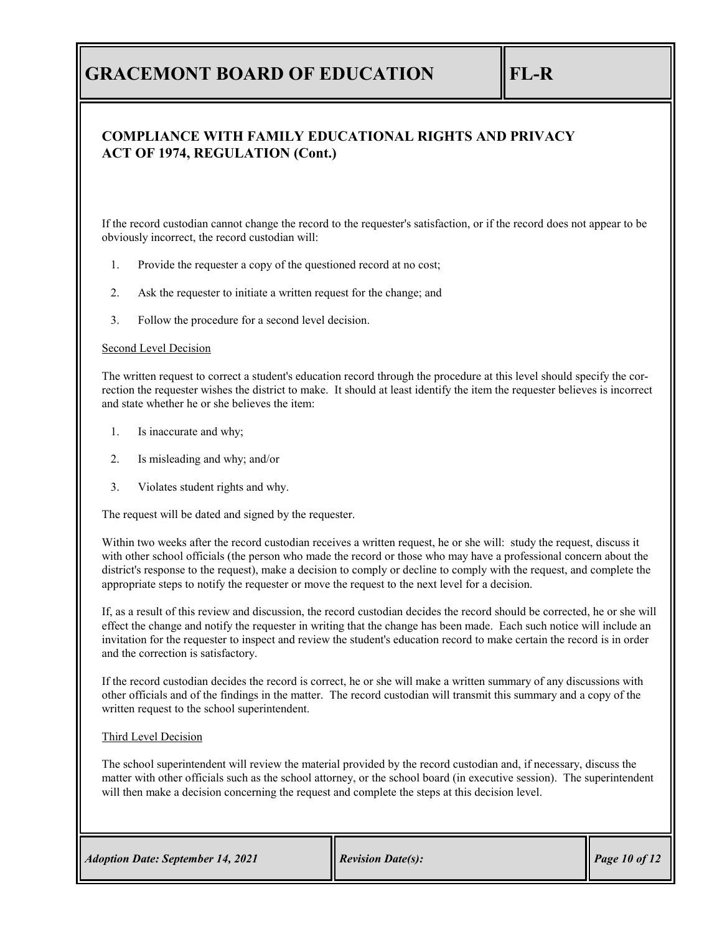## **COMPLIANCE WITH FAMILY EDUCATIONAL RIGHTS AND PRIVACY ACT OF 1974, REGULATION (Cont.)**

If the record custodian cannot change the record to the requester's satisfaction, or if the record does not appear to be obviously incorrect, the record custodian will:

- 1. Provide the requester a copy of the questioned record at no cost;
- 2. Ask the requester to initiate a written request for the change; and
- 3. Follow the procedure for a second level decision.

#### Second Level Decision

The written request to correct a student's education record through the procedure at this level should specify the correction the requester wishes the district to make. It should at least identify the item the requester believes is incorrect and state whether he or she believes the item:

- 1. Is inaccurate and why;
- 2. Is misleading and why; and/or
- 3. Violates student rights and why.

The request will be dated and signed by the requester.

Within two weeks after the record custodian receives a written request, he or she will: study the request, discuss it with other school officials (the person who made the record or those who may have a professional concern about the district's response to the request), make a decision to comply or decline to comply with the request, and complete the appropriate steps to notify the requester or move the request to the next level for a decision.

If, as a result of this review and discussion, the record custodian decides the record should be corrected, he or she will effect the change and notify the requester in writing that the change has been made. Each such notice will include an invitation for the requester to inspect and review the student's education record to make certain the record is in order and the correction is satisfactory.

If the record custodian decides the record is correct, he or she will make a written summary of any discussions with other officials and of the findings in the matter. The record custodian will transmit this summary and a copy of the written request to the school superintendent.

#### Third Level Decision

The school superintendent will review the material provided by the record custodian and, if necessary, discuss the matter with other officials such as the school attorney, or the school board (in executive session). The superintendent will then make a decision concerning the request and complete the steps at this decision level.

|  |  | <b>Adoption Date: September 14, 2021</b> |  |  |
|--|--|------------------------------------------|--|--|
|--|--|------------------------------------------|--|--|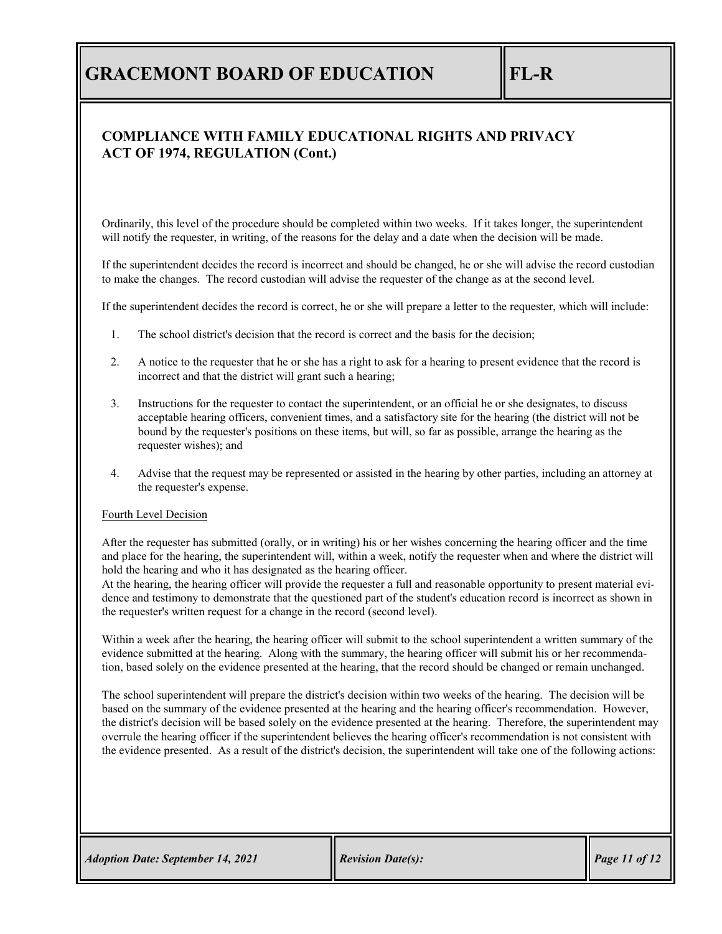## **COMPLIANCE WITH FAMILY EDUCATIONAL RIGHTS AND PRIVACY ACT OF 1974, REGULATION (Cont.)**

Ordinarily, this level of the procedure should be completed within two weeks. If it takes longer, the superintendent will notify the requester, in writing, of the reasons for the delay and a date when the decision will be made.

If the superintendent decides the record is incorrect and should be changed, he or she will advise the record custodian to make the changes. The record custodian will advise the requester of the change as at the second level.

If the superintendent decides the record is correct, he or she will prepare a letter to the requester, which will include:

- 1. The school district's decision that the record is correct and the basis for the decision;
- 2. A notice to the requester that he or she has a right to ask for a hearing to present evidence that the record is incorrect and that the district will grant such a hearing;
- 3. Instructions for the requester to contact the superintendent, or an official he or she designates, to discuss acceptable hearing officers, convenient times, and a satisfactory site for the hearing (the district will not be bound by the requester's positions on these items, but will, so far as possible, arrange the hearing as the requester wishes); and
- 4. Advise that the request may be represented or assisted in the hearing by other parties, including an attorney at the requester's expense.

#### Fourth Level Decision

After the requester has submitted (orally, or in writing) his or her wishes concerning the hearing officer and the time and place for the hearing, the superintendent will, within a week, notify the requester when and where the district will hold the hearing and who it has designated as the hearing officer.

At the hearing, the hearing officer will provide the requester a full and reasonable opportunity to present material evidence and testimony to demonstrate that the questioned part of the student's education record is incorrect as shown in the requester's written request for a change in the record (second level).

Within a week after the hearing, the hearing officer will submit to the school superintendent a written summary of the evidence submitted at the hearing. Along with the summary, the hearing officer will submit his or her recommendation, based solely on the evidence presented at the hearing, that the record should be changed or remain unchanged.

The school superintendent will prepare the district's decision within two weeks of the hearing. The decision will be based on the summary of the evidence presented at the hearing and the hearing officer's recommendation. However, the district's decision will be based solely on the evidence presented at the hearing. Therefore, the superintendent may overrule the hearing officer if the superintendent believes the hearing officer's recommendation is not consistent with the evidence presented. As a result of the district's decision, the superintendent will take one of the following actions: